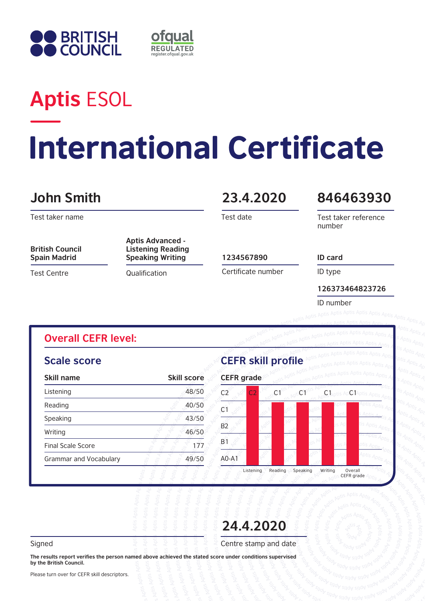



# **Aptis** ESOL

# **International Certificate**

### **John Smith 23.4.2020**

Test taker name

**British Council Spain Madrid**

**Scale score**

**Overall CEFR level:** 

Test Centre

#### **Aptis Advanced - Listening Reading Speaking Writing 1234567890**

**Qualification** 

Test date

#### **846463930**

Test taker reference number

Certificate number

ID type

**126373464823726**

ID number

**ID card**

#### **CEFR skill profile Skill name Skill score CEFR grade** Listening 48/50 Reading  $\sim$  40/50 Speaking 43/50 Writing  $\sim 46/50$ Final Scale Score 177 Grammar and Vocabulary **49/50** Listening Reading Speaking Writing Overall<br>CEFR grade  $C2 \times C1$   $C1$   $C1$   $C1$   $C1$ C<sub>1</sub>  $B2$ B1 A0-A1  $C<sub>2</sub>$

**24.4.2020**

Signed Signed  $\overline{z}$   $\overline{z}$   $\overline{z}$   $\overline{z}$   $\overline{z}$   $\overline{z}$   $\overline{z}$   $\overline{z}$  and date

**The results report verifies the person named above achieved the stated score under conditions supervised by the British Council.** 

Please turn over for CEFR skill descriptors.